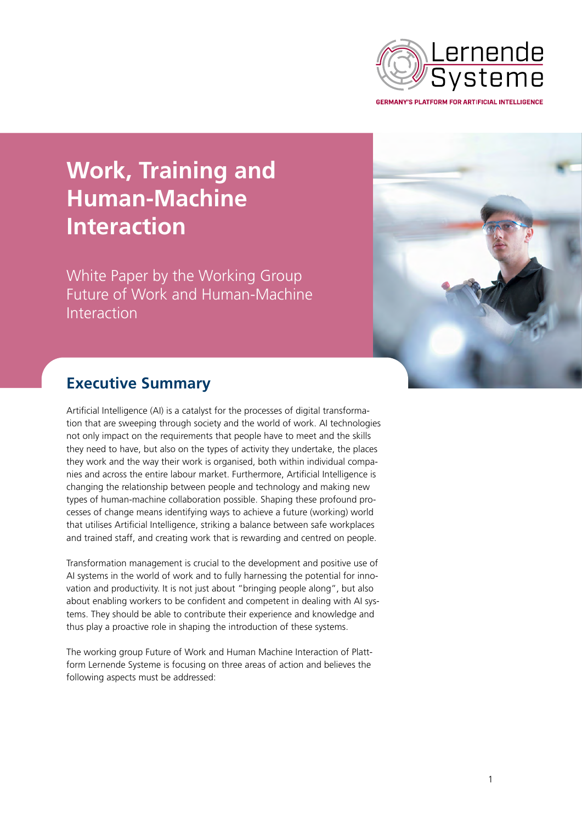

**Work, Training and Human-Machine Interaction**

White Paper by the Working Group Future of Work and Human-Machine Interaction



# **Executive Summary**

Artificial Intelligence (AI) is a catalyst for the processes of digital transformation that are sweeping through society and the world of work. AI technologies not only impact on the requirements that people have to meet and the skills they need to have, but also on the types of activity they undertake, the places they work and the way their work is organised, both within individual companies and across the entire labour market. Furthermore, Artificial Intelligence is changing the relationship between people and technology and making new types of human-machine collaboration possible. Shaping these profound processes of change means identifying ways to achieve a future (working) world that utilises Artificial Intelligence, striking a balance between safe workplaces and trained staff, and creating work that is rewarding and centred on people.

Transformation management is crucial to the development and positive use of AI systems in the world of work and to fully harnessing the potential for innovation and productivity. It is not just about "bringing people along", but also about enabling workers to be confident and competent in dealing with AI systems. They should be able to contribute their experience and knowledge and thus play a proactive role in shaping the introduction of these systems.

The working group Future of Work and Human Machine Interaction of Plattform Lernende Systeme is focusing on three areas of action and believes the following aspects must be addressed: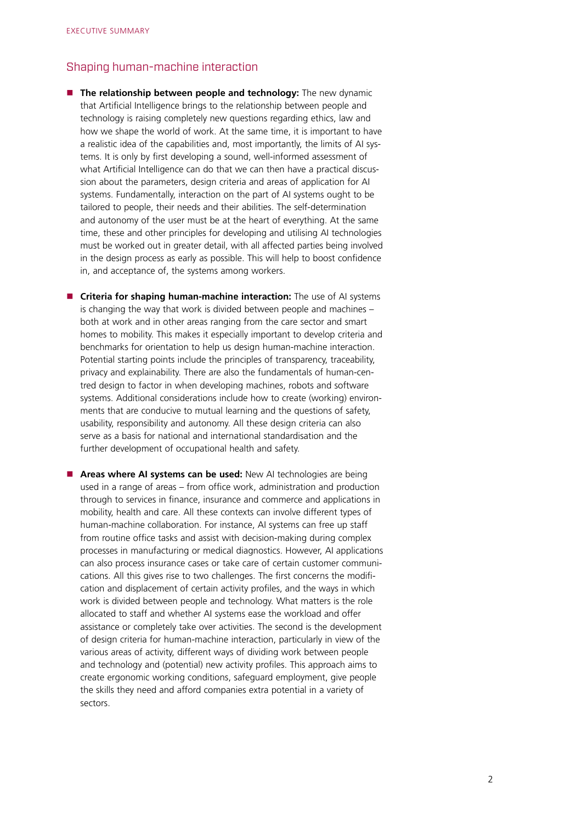### Shaping human-machine interaction

- **The relationship between people and technology:** The new dynamic that Artificial Intelligence brings to the relationship between people and technology is raising completely new questions regarding ethics, law and how we shape the world of work. At the same time, it is important to have a realistic idea of the capabilities and, most importantly, the limits of AI systems. It is only by first developing a sound, well-informed assessment of what Artificial Intelligence can do that we can then have a practical discussion about the parameters, design criteria and areas of application for AI systems. Fundamentally, interaction on the part of AI systems ought to be tailored to people, their needs and their abilities. The self-determination and autonomy of the user must be at the heart of everything. At the same time, these and other principles for developing and utilising AI technologies must be worked out in greater detail, with all affected parties being involved in the design process as early as possible. This will help to boost confidence in, and acceptance of, the systems among workers.
- **E** Criteria for shaping human-machine interaction: The use of AI systems is changing the way that work is divided between people and machines – both at work and in other areas ranging from the care sector and smart homes to mobility. This makes it especially important to develop criteria and benchmarks for orientation to help us design human-machine interaction. Potential starting points include the principles of transparency, traceability, privacy and explainability. There are also the fundamentals of human-centred design to factor in when developing machines, robots and software systems. Additional considerations include how to create (working) environments that are conducive to mutual learning and the questions of safety, usability, responsibility and autonomy. All these design criteria can also serve as a basis for national and international standardisation and the further development of occupational health and safety.
- **Areas where AI systems can be used:** New AI technologies are being used in a range of areas – from office work, administration and production through to services in finance, insurance and commerce and applications in mobility, health and care. All these contexts can involve different types of human-machine collaboration. For instance, AI systems can free up staff from routine office tasks and assist with decision-making during complex processes in manufacturing or medical diagnostics. However, AI applications can also process insurance cases or take care of certain customer communications. All this gives rise to two challenges. The first concerns the modification and displacement of certain activity profiles, and the ways in which work is divided between people and technology. What matters is the role allocated to staff and whether AI systems ease the workload and offer assistance or completely take over activities. The second is the development of design criteria for human-machine interaction, particularly in view of the various areas of activity, different ways of dividing work between people and technology and (potential) new activity profiles. This approach aims to create ergonomic working conditions, safeguard employment, give people the skills they need and afford companies extra potential in a variety of sectors.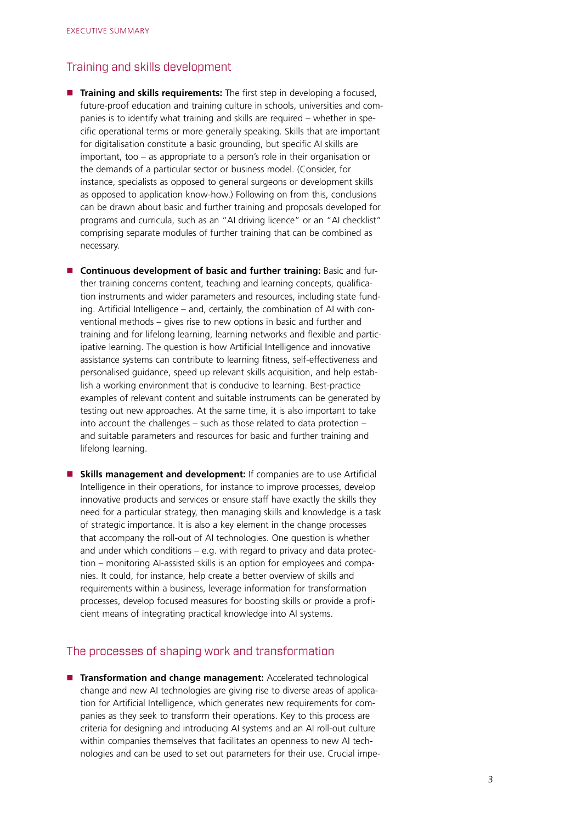### Training and skills development

- **Training and skills requirements:** The first step in developing a focused, future-proof education and training culture in schools, universities and companies is to identify what training and skills are required – whether in specific operational terms or more generally speaking. Skills that are important for digitalisation constitute a basic grounding, but specific AI skills are important, too – as appropriate to a person's role in their organisation or the demands of a particular sector or business model. (Consider, for instance, specialists as opposed to general surgeons or development skills as opposed to application know-how.) Following on from this, conclusions can be drawn about basic and further training and proposals developed for programs and curricula, such as an "AI driving licence" or an "AI checklist" comprising separate modules of further training that can be combined as necessary.
- **E** Continuous development of basic and further training: Basic and further training concerns content, teaching and learning concepts, qualification instruments and wider parameters and resources, including state funding. Artificial Intelligence – and, certainly, the combination of AI with conventional methods – gives rise to new options in basic and further and training and for lifelong learning, learning networks and flexible and participative learning. The question is how Artificial Intelligence and innovative assistance systems can contribute to learning fitness, self-effectiveness and personalised guidance, speed up relevant skills acquisition, and help establish a working environment that is conducive to learning. Best-practice examples of relevant content and suitable instruments can be generated by testing out new approaches. At the same time, it is also important to take into account the challenges – such as those related to data protection – and suitable parameters and resources for basic and further training and lifelong learning.
- **Skills management and development:** If companies are to use Artificial Intelligence in their operations, for instance to improve processes, develop innovative products and services or ensure staff have exactly the skills they need for a particular strategy, then managing skills and knowledge is a task of strategic importance. It is also a key element in the change processes that accompany the roll-out of AI technologies. One question is whether and under which conditions – e.g. with regard to privacy and data protection – monitoring AI-assisted skills is an option for employees and companies. It could, for instance, help create a better overview of skills and requirements within a business, leverage information for transformation processes, develop focused measures for boosting skills or provide a proficient means of integrating practical knowledge into AI systems.

## The processes of shaping work and transformation

**Transformation and change management:** Accelerated technological change and new AI technologies are giving rise to diverse areas of application for Artificial Intelligence, which generates new requirements for companies as they seek to transform their operations. Key to this process are criteria for designing and introducing AI systems and an AI roll-out culture within companies themselves that facilitates an openness to new AI technologies and can be used to set out parameters for their use. Crucial impe